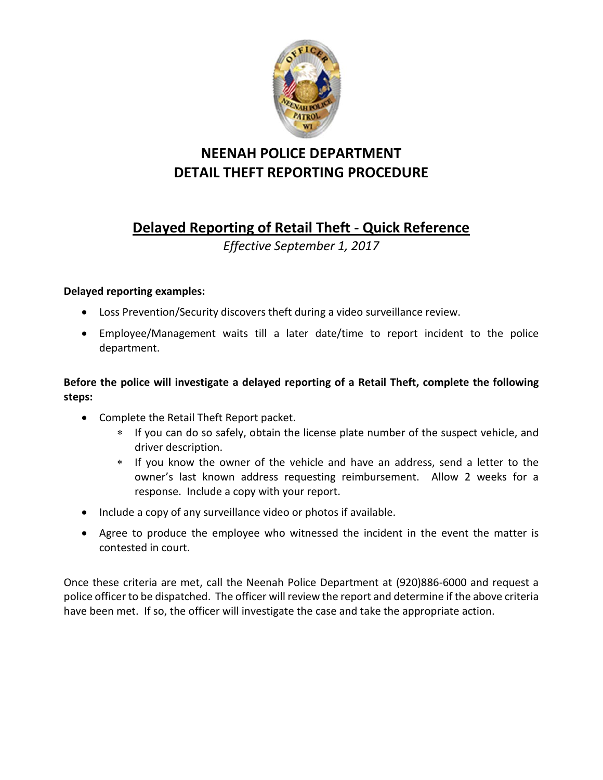

# **NEENAH POLICE DEPARTMENT DETAIL THEFT REPORTING PROCEDURE**

# **Delayed Reporting of Retail Theft - Quick Reference**

*Effective September 1, 2017*

#### **Delayed reporting examples:**

- Loss Prevention/Security discovers theft during a video surveillance review.
- Employee/Management waits till a later date/time to report incident to the police department.

#### **Before the police will investigate a delayed reporting of a Retail Theft, complete the following steps:**

- Complete the Retail Theft Report packet.
	- ∗ If you can do so safely, obtain the license plate number of the suspect vehicle, and driver description.
	- ∗ If you know the owner of the vehicle and have an address, send a letter to the owner's last known address requesting reimbursement. Allow 2 weeks for a response. Include a copy with your report.
- Include a copy of any surveillance video or photos if available.
- Agree to produce the employee who witnessed the incident in the event the matter is contested in court.

Once these criteria are met, call the Neenah Police Department at (920)886-6000 and request a police officer to be dispatched. The officer will review the report and determine if the above criteria have been met. If so, the officer will investigate the case and take the appropriate action.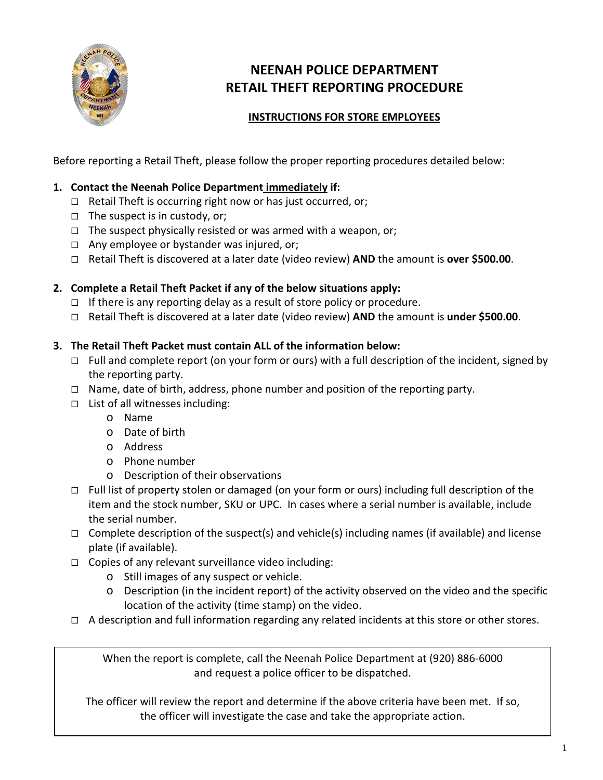

# **NEENAH POLICE DEPARTMENT RETAIL THEFT REPORTING PROCEDURE**

### **INSTRUCTIONS FOR STORE EMPLOYEES**

Before reporting a Retail Theft, please follow the proper reporting procedures detailed below:

#### **1. Contact the Neenah Police Department immediately if:**

- $\Box$  Retail Theft is occurring right now or has just occurred, or;
- $\Box$  The suspect is in custody, or;
- $\Box$  The suspect physically resisted or was armed with a weapon, or;
- $\Box$  Any employee or bystander was injured, or;
- Retail Theft is discovered at a later date (video review) **AND** the amount is **over \$500.00**.

#### **2. Complete a Retail Theft Packet if any of the below situations apply:**

- $\Box$  If there is any reporting delay as a result of store policy or procedure.
- Retail Theft is discovered at a later date (video review) **AND** the amount is **under \$500.00**.

#### **3. The Retail Theft Packet must contain ALL of the information below:**

- $\Box$  Full and complete report (on your form or ours) with a full description of the incident, signed by the reporting party.
- $\Box$  Name, date of birth, address, phone number and position of the reporting party.
- $\Box$  List of all witnesses including:
	- o Name
	- o Date of birth
	- o Address
	- o Phone number
	- o Description of their observations
- $\Box$  Full list of property stolen or damaged (on your form or ours) including full description of the item and the stock number, SKU or UPC. In cases where a serial number is available, include the serial number.
- $\Box$  Complete description of the suspect(s) and vehicle(s) including names (if available) and license plate (if available).
- $\Box$  Copies of any relevant surveillance video including:
	- o Still images of any suspect or vehicle.
	- o Description (in the incident report) of the activity observed on the video and the specific location of the activity (time stamp) on the video.
- $\Box$  A description and full information regarding any related incidents at this store or other stores.

When the report is complete, call the Neenah Police Department at (920) 886-6000 and request a police officer to be dispatched.

The officer will review the report and determine if the above criteria have been met. If so, the officer will investigate the case and take the appropriate action.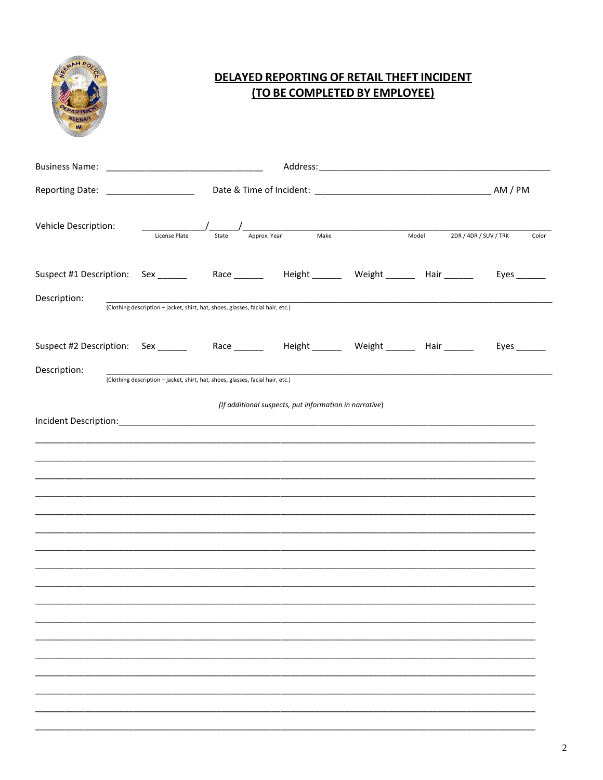

### DELAYED REPORTING OF RETAIL THEFT INCIDENT **(TO BE COMPLETED BY EMPLOYEE)**

| Reporting Date: ____________________                                                                 |                                                                                |  |                                                        |  |                                       |                             |             |       |
|------------------------------------------------------------------------------------------------------|--------------------------------------------------------------------------------|--|--------------------------------------------------------|--|---------------------------------------|-----------------------------|-------------|-------|
| Vehicle Description:                                                                                 |                                                                                |  |                                                        |  | License Plate State Approx. Year Make | Model 2DR / 4DR / SUV / TRK |             | Color |
| Suspect #1 Description: Sex _______ Race _______ Height ______ Weight ______ Hair ______ Eyes ______ |                                                                                |  |                                                        |  |                                       |                             |             |       |
| Description:                                                                                         | (Clothing description - jacket, shirt, hat, shoes, glasses, facial hair, etc.) |  |                                                        |  |                                       |                             |             |       |
| Suspect #2 Description: Sex _______ Race _______ Height ______ Weight ______ Hair ______             |                                                                                |  |                                                        |  |                                       |                             | Eyes $\_\_$ |       |
| Description:                                                                                         | (Clothing description - jacket, shirt, hat, shoes, glasses, facial hair, etc.) |  |                                                        |  |                                       |                             |             |       |
|                                                                                                      |                                                                                |  | (If additional suspects, put information in narrative) |  |                                       |                             |             |       |
|                                                                                                      |                                                                                |  |                                                        |  |                                       |                             |             |       |
|                                                                                                      |                                                                                |  |                                                        |  |                                       |                             |             |       |
|                                                                                                      |                                                                                |  |                                                        |  |                                       |                             |             |       |
|                                                                                                      |                                                                                |  |                                                        |  |                                       |                             |             |       |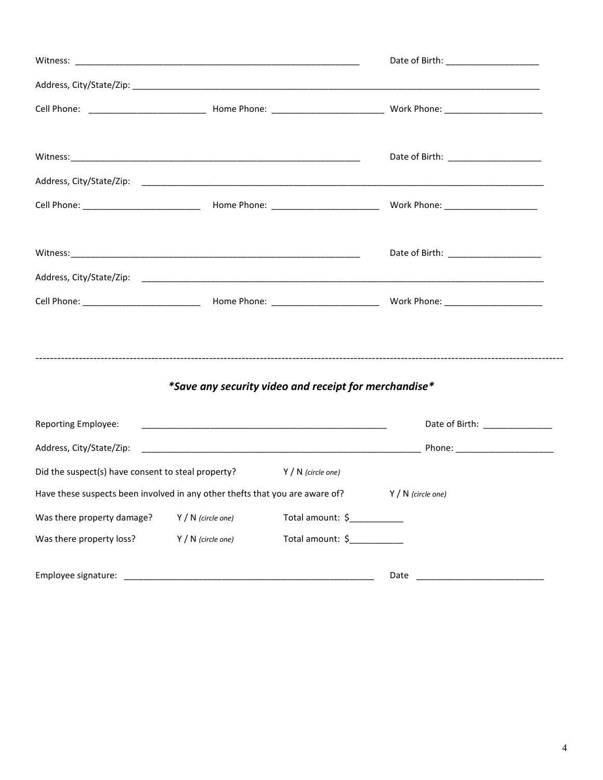|                                                                                                                |                      |                                                       | Date of Birth: ___________________     |  |  |
|----------------------------------------------------------------------------------------------------------------|----------------------|-------------------------------------------------------|----------------------------------------|--|--|
|                                                                                                                |                      |                                                       |                                        |  |  |
|                                                                                                                |                      |                                                       |                                        |  |  |
|                                                                                                                |                      |                                                       | Date of Birth: _______________________ |  |  |
|                                                                                                                |                      |                                                       |                                        |  |  |
|                                                                                                                |                      |                                                       |                                        |  |  |
|                                                                                                                |                      |                                                       |                                        |  |  |
|                                                                                                                |                      |                                                       |                                        |  |  |
|                                                                                                                |                      |                                                       |                                        |  |  |
|                                                                                                                |                      | *Save any security video and receipt for merchandise* |                                        |  |  |
| Reporting Employee:                                                                                            |                      |                                                       | Date of Birth: ______________          |  |  |
|                                                                                                                |                      |                                                       |                                        |  |  |
| Did the suspect(s) have consent to steal property? Y / N (circle one)                                          |                      |                                                       |                                        |  |  |
| Have these suspects been involved in any other thefts that you are aware of? $\blacksquare$ Y / N (circle one) |                      |                                                       |                                        |  |  |
| Was there property damage?                                                                                     | $Y / N$ (circle one) | Total amount: \$                                      |                                        |  |  |
| Was there property loss?                                                                                       | $Y / N$ (circle one) | Total amount: \$                                      |                                        |  |  |
| Employee signature:                                                                                            |                      |                                                       | Date                                   |  |  |